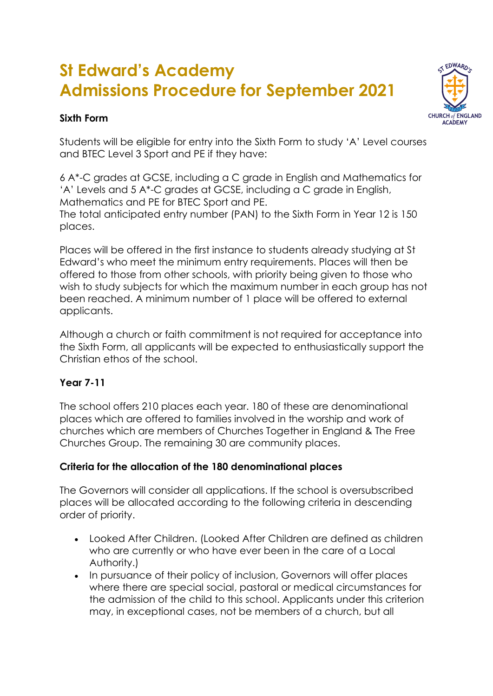# **St Edward's Academy Admissions Procedure for September 2021**

### **Sixth Form**



Students will be eligible for entry into the Sixth Form to study 'A' Level courses and BTEC Level 3 Sport and PE if they have:

6 A\*-C grades at GCSE, including a C grade in English and Mathematics for 'A' Levels and 5 A\*-C grades at GCSE, including a C grade in English, Mathematics and PE for BTEC Sport and PE. The total anticipated entry number (PAN) to the Sixth Form in Year 12 is 150 places.

Places will be offered in the first instance to students already studying at St Edward's who meet the minimum entry requirements. Places will then be offered to those from other schools, with priority being given to those who wish to study subjects for which the maximum number in each group has not been reached. A minimum number of 1 place will be offered to external applicants.

Although a church or faith commitment is not required for acceptance into the Sixth Form, all applicants will be expected to enthusiastically support the Christian ethos of the school.

#### **Year 7-11**

The school offers 210 places each year. 180 of these are denominational places which are offered to families involved in the worship and work of churches which are members of Churches Together in England & The Free Churches Group. The remaining 30 are community places.

#### **Criteria for the allocation of the 180 denominational places**

The Governors will consider all applications. If the school is oversubscribed places will be allocated according to the following criteria in descending order of priority.

- Looked After Children. (Looked After Children are defined as children who are currently or who have ever been in the care of a Local Authority.)
- In pursuance of their policy of inclusion, Governors will offer places where there are special social, pastoral or medical circumstances for the admission of the child to this school. Applicants under this criterion may, in exceptional cases, not be members of a church, but all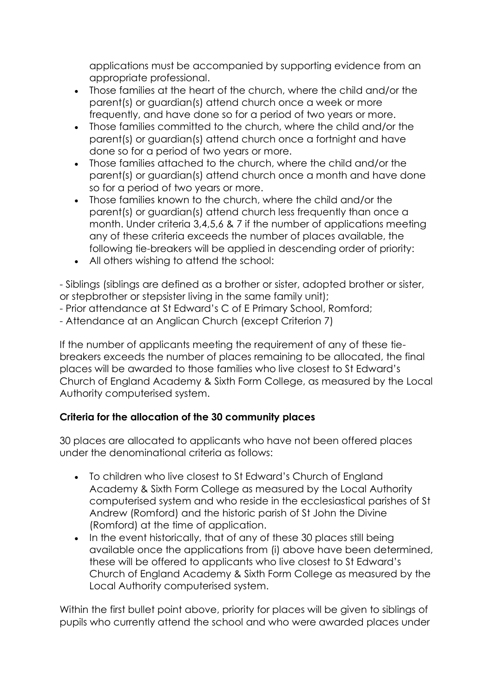applications must be accompanied by supporting evidence from an appropriate professional.

- Those families at the heart of the church, where the child and/or the parent(s) or guardian(s) attend church once a week or more frequently, and have done so for a period of two years or more.
- Those families committed to the church, where the child and/or the parent(s) or guardian(s) attend church once a fortnight and have done so for a period of two years or more.
- Those families attached to the church, where the child and/or the parent(s) or guardian(s) attend church once a month and have done so for a period of two years or more.
- Those families known to the church, where the child and/or the parent(s) or guardian(s) attend church less frequently than once a month. Under criteria 3,4,5,6 & 7 if the number of applications meeting any of these criteria exceeds the number of places available, the following tie-breakers will be applied in descending order of priority:
- All others wishing to attend the school:

- Siblings (siblings are defined as a brother or sister, adopted brother or sister, or stepbrother or stepsister living in the same family unit);

- Prior attendance at St Edward's C of E Primary School, Romford;

- Attendance at an Anglican Church (except Criterion 7)

If the number of applicants meeting the requirement of any of these tiebreakers exceeds the number of places remaining to be allocated, the final places will be awarded to those families who live closest to St Edward's Church of England Academy & Sixth Form College, as measured by the Local Authority computerised system.

## **Criteria for the allocation of the 30 community places**

30 places are allocated to applicants who have not been offered places under the denominational criteria as follows:

- To children who live closest to St Edward's Church of England Academy & Sixth Form College as measured by the Local Authority computerised system and who reside in the ecclesiastical parishes of St Andrew (Romford) and the historic parish of St John the Divine (Romford) at the time of application.
- In the event historically, that of any of these 30 places still being available once the applications from (i) above have been determined, these will be offered to applicants who live closest to St Edward's Church of England Academy & Sixth Form College as measured by the Local Authority computerised system.

Within the first bullet point above, priority for places will be given to siblings of pupils who currently attend the school and who were awarded places under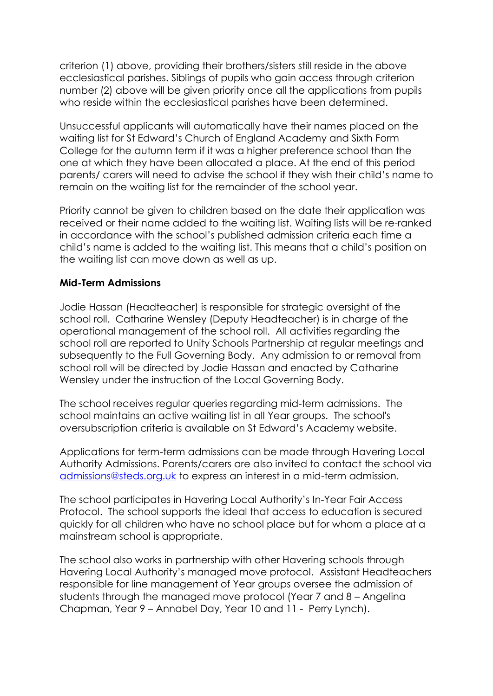criterion (1) above, providing their brothers/sisters still reside in the above ecclesiastical parishes. Siblings of pupils who gain access through criterion number (2) above will be given priority once all the applications from pupils who reside within the ecclesiastical parishes have been determined.

Unsuccessful applicants will automatically have their names placed on the waiting list for St Edward's Church of England Academy and Sixth Form College for the autumn term if it was a higher preference school than the one at which they have been allocated a place. At the end of this period parents/ carers will need to advise the school if they wish their child's name to remain on the waiting list for the remainder of the school year.

Priority cannot be given to children based on the date their application was received or their name added to the waiting list. Waiting lists will be re-ranked in accordance with the school's published admission criteria each time a child's name is added to the waiting list. This means that a child's position on the waiting list can move down as well as up.

#### **Mid-Term Admissions**

Jodie Hassan (Headteacher) is responsible for strategic oversight of the school roll. Catharine Wensley (Deputy Headteacher) is in charge of the operational management of the school roll. All activities regarding the school roll are reported to Unity Schools Partnership at regular meetings and subsequently to the Full Governing Body. Any admission to or removal from school roll will be directed by Jodie Hassan and enacted by Catharine Wensley under the instruction of the Local Governing Body.

The school receives regular queries regarding mid-term admissions. The school maintains an active waiting list in all Year groups. The school's oversubscription criteria is available on St Edward's Academy website.

Applications for term-term admissions can be made through Havering Local Authority Admissions. Parents/carers are also invited to contact the school via [admissions@steds.org.uk](mailto:admissions@steds.org.uk) to express an interest in a mid-term admission.

The school participates in Havering Local Authority's In-Year Fair Access Protocol. The school supports the ideal that access to education is secured quickly for all children who have no school place but for whom a place at a mainstream school is appropriate.

The school also works in partnership with other Havering schools through Havering Local Authority's managed move protocol. Assistant Headteachers responsible for line management of Year groups oversee the admission of students through the managed move protocol (Year 7 and 8 – Angelina Chapman, Year 9 – Annabel Day, Year 10 and 11 - Perry Lynch).